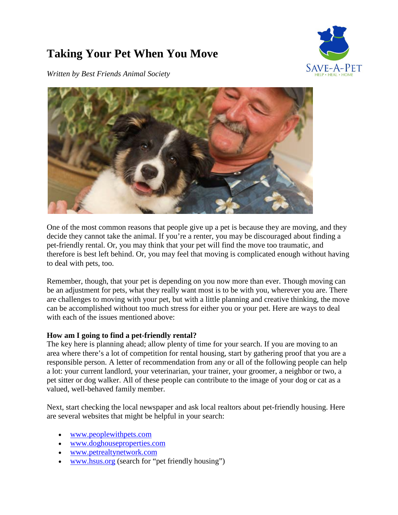## **Taking Your Pet When You Move**



*Written by Best Friends Animal Society*



One of the most common reasons that people give up a pet is because they are moving, and they decide they cannot take the animal. If you're a renter, you may be discouraged about finding a pet-friendly rental. Or, you may think that your pet will find the move too traumatic, and therefore is best left behind. Or, you may feel that moving is complicated enough without having to deal with pets, too.

Remember, though, that your pet is depending on you now more than ever. Though moving can be an adjustment for pets, what they really want most is to be with you, wherever you are. There are challenges to moving with your pet, but with a little planning and creative thinking, the move can be accomplished without too much stress for either you or your pet. Here are ways to deal with each of the issues mentioned above:

## **How am I going to find a pet-friendly rental?**

The key here is planning ahead; allow plenty of time for your search. If you are moving to an area where there's a lot of competition for rental housing, start by gathering proof that you are a responsible person. A letter of recommendation from any or all of the following people can help a lot: your current landlord, your veterinarian, your trainer, your groomer, a neighbor or two, a pet sitter or dog walker. All of these people can contribute to the image of your dog or cat as a valued, well-behaved family member.

Next, start checking the local newspaper and ask local realtors about pet-friendly housing. Here are several websites that might be helpful in your search:

- [www.peoplewithpets.com](http://www.peoplewithpets.com/)
- [www.doghouseproperties.com](http://www.doghouseproperties.com/)
- [www.petrealtynetwork.com](http://www.petrealtynetwork.com/)
- [www.hsus.org](http://www.hsus.org/) (search for "pet friendly housing")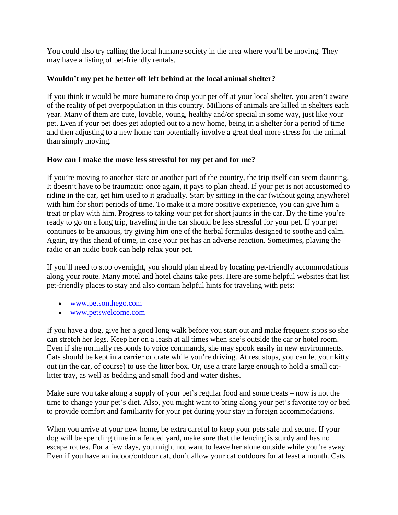You could also try calling the local humane society in the area where you'll be moving. They may have a listing of pet-friendly rentals.

## **Wouldn't my pet be better off left behind at the local animal shelter?**

If you think it would be more humane to drop your pet off at your local shelter, you aren't aware of the reality of pet overpopulation in this country. Millions of animals are killed in shelters each year. Many of them are cute, lovable, young, healthy and/or special in some way, just like your pet. Even if your pet does get adopted out to a new home, being in a shelter for a period of time and then adjusting to a new home can potentially involve a great deal more stress for the animal than simply moving.

## **How can I make the move less stressful for my pet and for me?**

If you're moving to another state or another part of the country, the trip itself can seem daunting. It doesn't have to be traumatic; once again, it pays to plan ahead. If your pet is not accustomed to riding in the car, get him used to it gradually. Start by sitting in the car (without going anywhere) with him for short periods of time. To make it a more positive experience, you can give him a treat or play with him. Progress to taking your pet for short jaunts in the car. By the time you're ready to go on a long trip, traveling in the car should be less stressful for your pet. If your pet continues to be anxious, try giving him one of the herbal formulas designed to soothe and calm. Again, try this ahead of time, in case your pet has an adverse reaction. Sometimes, playing the radio or an audio book can help relax your pet.

If you'll need to stop overnight, you should plan ahead by locating pet-friendly accommodations along your route. Many motel and hotel chains take pets. Here are some helpful websites that list pet-friendly places to stay and also contain helpful hints for traveling with pets:

- [www.petsonthego.com](http://www.petsonthego.com/)
- [www.petswelcome.com](http://www.petswelcome.com/)

If you have a dog, give her a good long walk before you start out and make frequent stops so she can stretch her legs. Keep her on a leash at all times when she's outside the car or hotel room. Even if she normally responds to voice commands, she may spook easily in new environments. Cats should be kept in a carrier or crate while you're driving. At rest stops, you can let your kitty out (in the car, of course) to use the litter box. Or, use a crate large enough to hold a small catlitter tray, as well as bedding and small food and water dishes.

Make sure you take along a supply of your pet's regular food and some treats – now is not the time to change your pet's diet. Also, you might want to bring along your pet's favorite toy or bed to provide comfort and familiarity for your pet during your stay in foreign accommodations.

When you arrive at your new home, be extra careful to keep your pets safe and secure. If your dog will be spending time in a fenced yard, make sure that the fencing is sturdy and has no escape routes. For a few days, you might not want to leave her alone outside while you're away. Even if you have an indoor/outdoor cat, don't allow your cat outdoors for at least a month. Cats